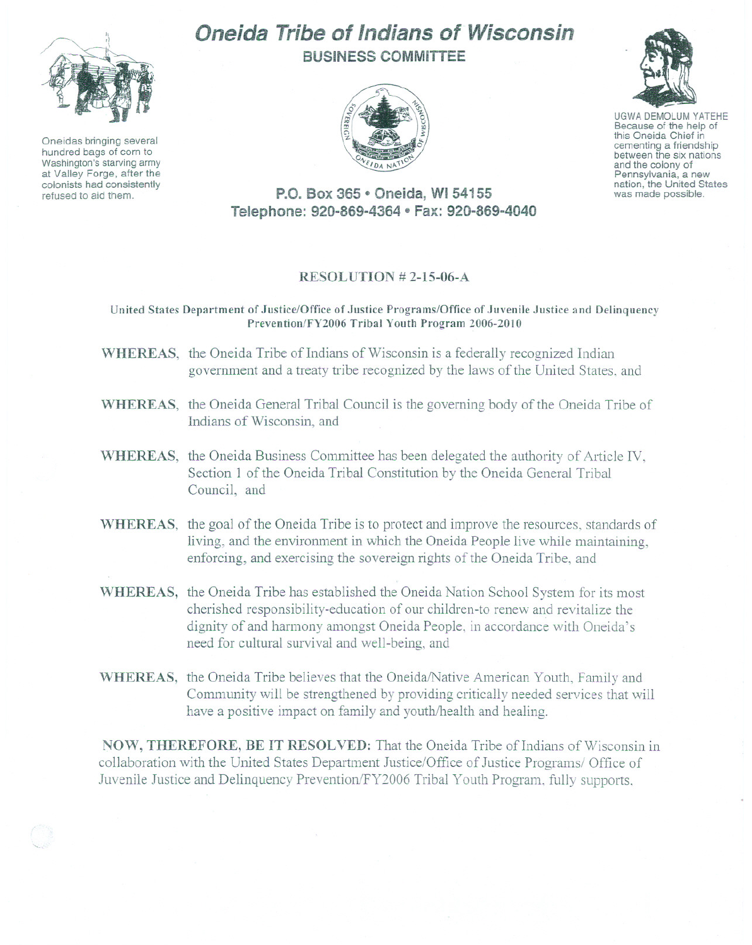

Oneidas bringing several hundred bags of corn to Washington's starving army at Valley Forge, after the colonists had consistently refused to aid them.

## Oneida Tribe of Indians of Wisconsin BUSINESS COMMITTEE





UGWA DEMOLUM YATEHE Because of the help of this Oneida Chief in<br>cementing a friendship between the six nations and the colony of<br>Pennsylvania, a new nation, the United States was made possible.

P.O. Box 365 • Oneida, WI 54155 Telephone: 920-869-4364 · Fax: 920-869-4040

## RESOLUTION # 2-15-06-A

United States Department of Justice/Office of Justice Programs/Office of Juvenile Justice and Delinquency Prevention/FY2006 Tribal Youth Program 2006-2010

- WHEREAS, the Oneida Tribe of Indians of Wisconsin is a federally recognized Indian government and a treaty tribe recognized by the laws of the United States, and
- WHEREAS, the Oneida General Tribal Council is the governing body of the Oneida Tribe of Indians of Wisconsin, and
- WHEREAS, the Oneida Business Committee has been delegated the authority of Article IV, Section 1 of the Oneida Tribal Constitution by the Oneida General Tribal Council, and
- WHEREAS, the goal of the Oneida Tribe is to protect and improve the resources, standards of living, and the environment in which the Oneida People live while maintaining, enforcing, and exercising the sovereign rights of the Oneida Tribe, and
- WHEREAS, the Oneida Tribe has established the Oneida Nation School System for its most cherished responsibility-education of our children-to renew and revitalize the dignity of and harmony amongst Oneida People, in accordance with Oneida's need for cultural survival and well-being, and
- WHEREAS, the Oneida Tribe believes that the Oneida/Native American Youth, Family and Community will be strengthened by providing critically needed services that will have a positive impact on family and youth/health and healing.

NOW, THEREFORE, BE IT RESOLVED: That the Oneida Tribe of Indians of Wisconsin in collaboration with the United States Department Justice/Office of Justice Programs/ Office of Juvenile Justice and Delinquency Prevention/FY2006 Tribal Youth Program, fully supports,